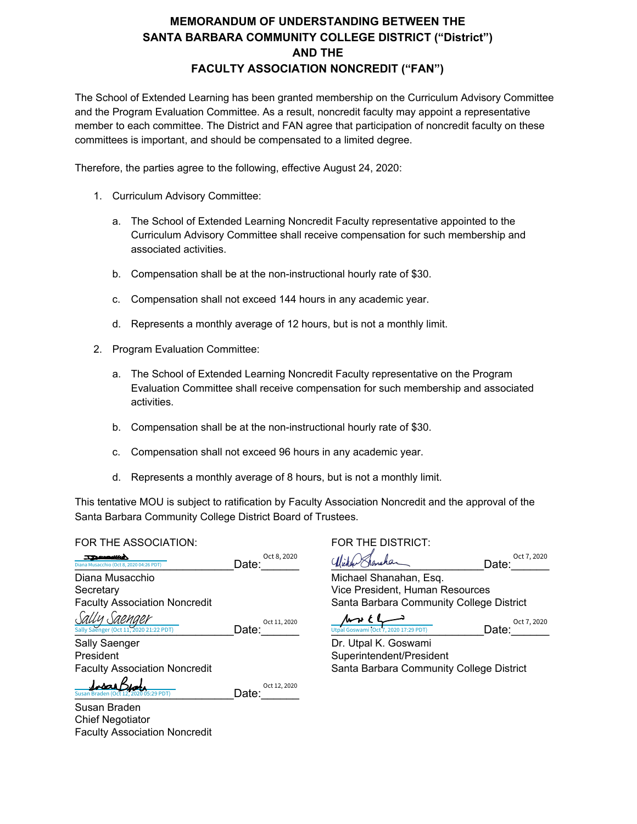## **MEMORANDUM OF UNDERSTANDING BETWEEN THE SANTA BARBARA COMMUNITY COLLEGE DISTRICT ("District") AND THE FACULTY ASSOCIATION NONCREDIT ("FAN")**

The School of Extended Learning has been granted membership on the Curriculum Advisory Committee and the Program Evaluation Committee. As a result, noncredit faculty may appoint a representative member to each committee. The District and FAN agree that participation of noncredit faculty on these committees is important, and should be compensated to a limited degree.

Therefore, the parties agree to the following, effective August 24, 2020:

- 1. Curriculum Advisory Committee:
	- a. The School of Extended Learning Noncredit Faculty representative appointed to the Curriculum Advisory Committee shall receive compensation for such membership and associated activities.
	- b. Compensation shall be at the non-instructional hourly rate of \$30.
	- c. Compensation shall not exceed 144 hours in any academic year.
	- d. Represents a monthly average of 12 hours, but is not a monthly limit.
- 2. Program Evaluation Committee:
	- a. The School of Extended Learning Noncredit Faculty representative on the Program Evaluation Committee shall receive compensation for such membership and associated activities.
	- b. Compensation shall be at the non-instructional hourly rate of \$30.
	- c. Compensation shall not exceed 96 hours in any academic year.
	- d. Represents a monthly average of 8 hours, but is not a monthly limit.

This tentative MOU is subject to ratification by Faculty Association Noncredit and the approval of the Santa Barbara Community College District Board of Trustees.

## FOR THE ASSOCIATION: FOR THE DISTRICT:

Faculty Association Noncredit

| Diana Musacchio (Oct 8, 2020 04:26 PDT)                 | Oct 8, 2020<br>Date:  |                                               | Oct 7, 2020<br>Date: |
|---------------------------------------------------------|-----------------------|-----------------------------------------------|----------------------|
| Diana Musacchio                                         |                       | Michael Shanahan, Esq.                        |                      |
| Secretary                                               |                       | Vice President, Human Resources               |                      |
| <b>Faculty Association Noncredit</b>                    |                       | Santa Barbara Community College District      |                      |
| Sally Saenger<br>Sally Saenger (Oct 11, 2020 21:22 PDT) | Oct 11, 2020<br>Date: | 4766<br>Utpal Goswami (Oct 7, 2020 17:29 PDT) | Oct 7, 2020<br>Date: |
| Sally Saenger                                           |                       | Dr. Utpal K. Goswami                          |                      |
| President                                               |                       | Superintendent/President                      |                      |
| <b>Faculty Association Noncredit</b>                    |                       | Santa Barbara Community College District      |                      |
| Susan Braden (Oct 12, 2020 05:29 PDT)                   | Oct 12, 2020<br>Date: |                                               |                      |
| Susan Braden                                            |                       |                                               |                      |
| <b>Chief Negotiator</b>                                 |                       |                                               |                      |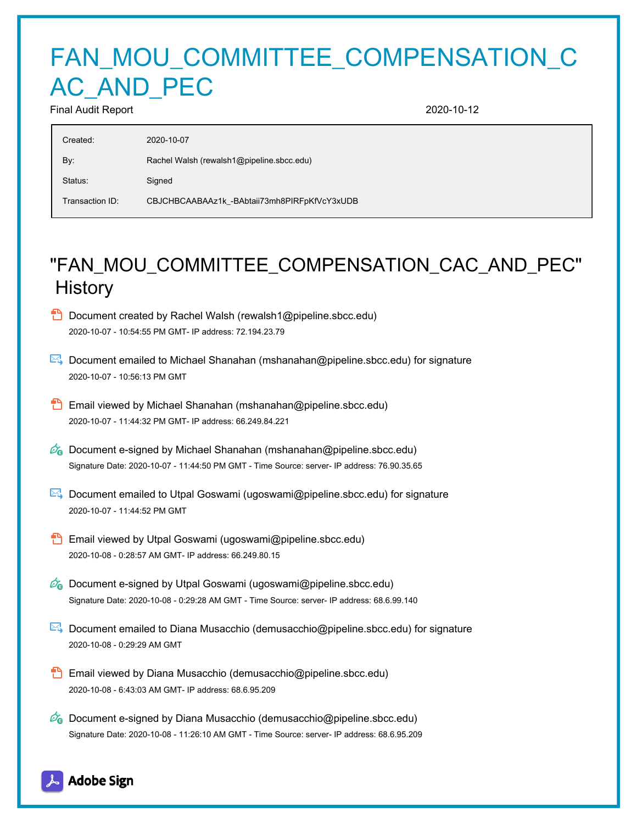## FAN\_MOU\_COMMITTEE\_COMPENSATION\_C AC AND PEC

Final Audit Report 2020-10-12

| Created:        | 2020-10-07                                   |
|-----------------|----------------------------------------------|
| By:             | Rachel Walsh (rewalsh1@pipeline.sbcc.edu)    |
| Status:         | Signed                                       |
| Transaction ID: | CBJCHBCAABAAz1k_-BAbtaii73mh8PIRFpKfVcY3xUDB |

## "FAN\_MOU\_COMMITTEE\_COMPENSATION\_CAC\_AND\_PEC" **History**

- **D** Document created by Rachel Walsh (rewalsh1@pipeline.sbcc.edu) 2020-10-07 - 10:54:55 PM GMT- IP address: 72.194.23.79
- Document emailed to Michael Shanahan (mshanahan@pipeline.sbcc.edu) for signature 2020-10-07 - 10:56:13 PM GMT
- **Email viewed by Michael Shanahan (mshanahan@pipeline.sbcc.edu)** 2020-10-07 - 11:44:32 PM GMT- IP address: 66.249.84.221
- $\mathscr{D}_{\mathbf{G}}$  Document e-signed by Michael Shanahan (mshanahan@pipeline.sbcc.edu) Signature Date: 2020-10-07 - 11:44:50 PM GMT - Time Source: server- IP address: 76.90.35.65
- Document emailed to Utpal Goswami (ugoswami@pipeline.sbcc.edu) for signature 2020-10-07 - 11:44:52 PM GMT
- **Email viewed by Utpal Goswami (ugoswami@pipeline.sbcc.edu)** 2020-10-08 - 0:28:57 AM GMT- IP address: 66.249.80.15
- $\mathcal{O}_0$  Document e-signed by Utpal Goswami (ugoswami@pipeline.sbcc.edu) Signature Date: 2020-10-08 - 0:29:28 AM GMT - Time Source: server- IP address: 68.6.99.140
- **Document emailed to Diana Musacchio (demusacchio@pipeline.sbcc.edu) for signature** 2020-10-08 - 0:29:29 AM GMT
- Email viewed by Diana Musacchio (demusacchio@pipeline.sbcc.edu) 2020-10-08 - 6:43:03 AM GMT- IP address: 68.6.95.209
- $\mathscr{A}_{\bullet}$  Document e-signed by Diana Musacchio (demusacchio@pipeline.sbcc.edu) Signature Date: 2020-10-08 - 11:26:10 AM GMT - Time Source: server- IP address: 68.6.95.209